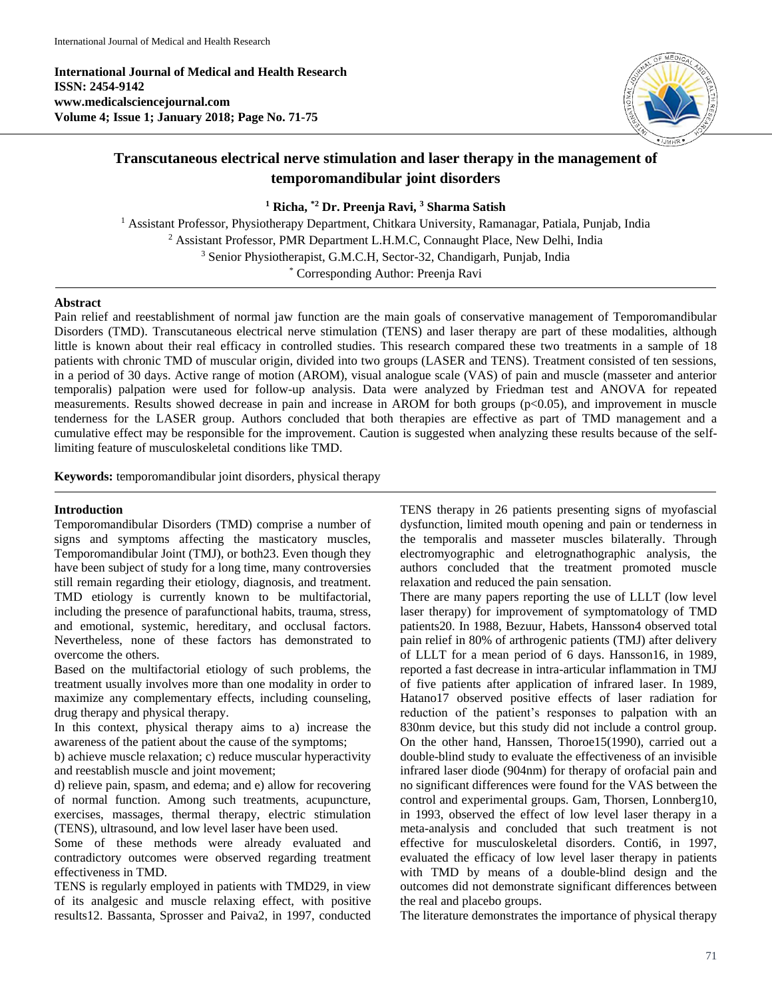**International Journal of Medical and Health Research ISSN: 2454-9142 www.medicalsciencejournal.com Volume 4; Issue 1; January 2018; Page No. 71-75**



# **Transcutaneous electrical nerve stimulation and laser therapy in the management of temporomandibular joint disorders**

**<sup>1</sup> Richa, \*2 Dr. Preenja Ravi, <sup>3</sup> Sharma Satish**

<sup>1</sup> Assistant Professor, Physiotherapy Department, Chitkara University, Ramanagar, Patiala, Punjab, India <sup>2</sup> Assistant Professor, PMR Department L.H.M.C, Connaught Place, New Delhi, India <sup>3</sup> Senior Physiotherapist, G.M.C.H, Sector-32, Chandigarh, Punjab, India \* Corresponding Author: Preenja Ravi

#### **Abstract**

Pain relief and reestablishment of normal jaw function are the main goals of conservative management of Temporomandibular Disorders (TMD). Transcutaneous electrical nerve stimulation (TENS) and laser therapy are part of these modalities, although little is known about their real efficacy in controlled studies. This research compared these two treatments in a sample of 18 patients with chronic TMD of muscular origin, divided into two groups (LASER and TENS). Treatment consisted of ten sessions, in a period of 30 days. Active range of motion (AROM), visual analogue scale (VAS) of pain and muscle (masseter and anterior temporalis) palpation were used for follow-up analysis. Data were analyzed by Friedman test and ANOVA for repeated measurements. Results showed decrease in pain and increase in AROM for both groups (p<0.05), and improvement in muscle tenderness for the LASER group. Authors concluded that both therapies are effective as part of TMD management and a cumulative effect may be responsible for the improvement. Caution is suggested when analyzing these results because of the selflimiting feature of musculoskeletal conditions like TMD.

**Keywords:** temporomandibular joint disorders, physical therapy

#### **Introduction**

Temporomandibular Disorders (TMD) comprise a number of signs and symptoms affecting the masticatory muscles, Temporomandibular Joint (TMJ), or both23. Even though they have been subject of study for a long time, many controversies still remain regarding their etiology, diagnosis, and treatment. TMD etiology is currently known to be multifactorial, including the presence of parafunctional habits, trauma, stress, and emotional, systemic, hereditary, and occlusal factors. Nevertheless, none of these factors has demonstrated to overcome the others.

Based on the multifactorial etiology of such problems, the treatment usually involves more than one modality in order to maximize any complementary effects, including counseling, drug therapy and physical therapy.

In this context, physical therapy aims to a) increase the awareness of the patient about the cause of the symptoms;

b) achieve muscle relaxation; c) reduce muscular hyperactivity and reestablish muscle and joint movement;

d) relieve pain, spasm, and edema; and e) allow for recovering of normal function. Among such treatments, acupuncture, exercises, massages, thermal therapy, electric stimulation (TENS), ultrasound, and low level laser have been used.

Some of these methods were already evaluated and contradictory outcomes were observed regarding treatment effectiveness in TMD.

TENS is regularly employed in patients with TMD29, in view of its analgesic and muscle relaxing effect, with positive results12. Bassanta, Sprosser and Paiva2, in 1997, conducted

TENS therapy in 26 patients presenting signs of myofascial dysfunction, limited mouth opening and pain or tenderness in the temporalis and masseter muscles bilaterally. Through electromyographic and eletrognathographic analysis, the authors concluded that the treatment promoted muscle relaxation and reduced the pain sensation.

There are many papers reporting the use of LLLT (low level laser therapy) for improvement of symptomatology of TMD patients20. In 1988, Bezuur, Habets, Hansson4 observed total pain relief in 80% of arthrogenic patients (TMJ) after delivery of LLLT for a mean period of 6 days. Hansson16, in 1989, reported a fast decrease in intra-articular inflammation in TMJ of five patients after application of infrared laser. In 1989, Hatano17 observed positive effects of laser radiation for reduction of the patient's responses to palpation with an 830nm device, but this study did not include a control group. On the other hand, Hanssen, Thoroe15(1990), carried out a double-blind study to evaluate the effectiveness of an invisible infrared laser diode (904nm) for therapy of orofacial pain and no significant differences were found for the VAS between the control and experimental groups. Gam, Thorsen, Lonnberg10, in 1993, observed the effect of low level laser therapy in a meta-analysis and concluded that such treatment is not effective for musculoskeletal disorders. Conti6, in 1997, evaluated the efficacy of low level laser therapy in patients with TMD by means of a double-blind design and the outcomes did not demonstrate significant differences between the real and placebo groups.

The literature demonstrates the importance of physical therapy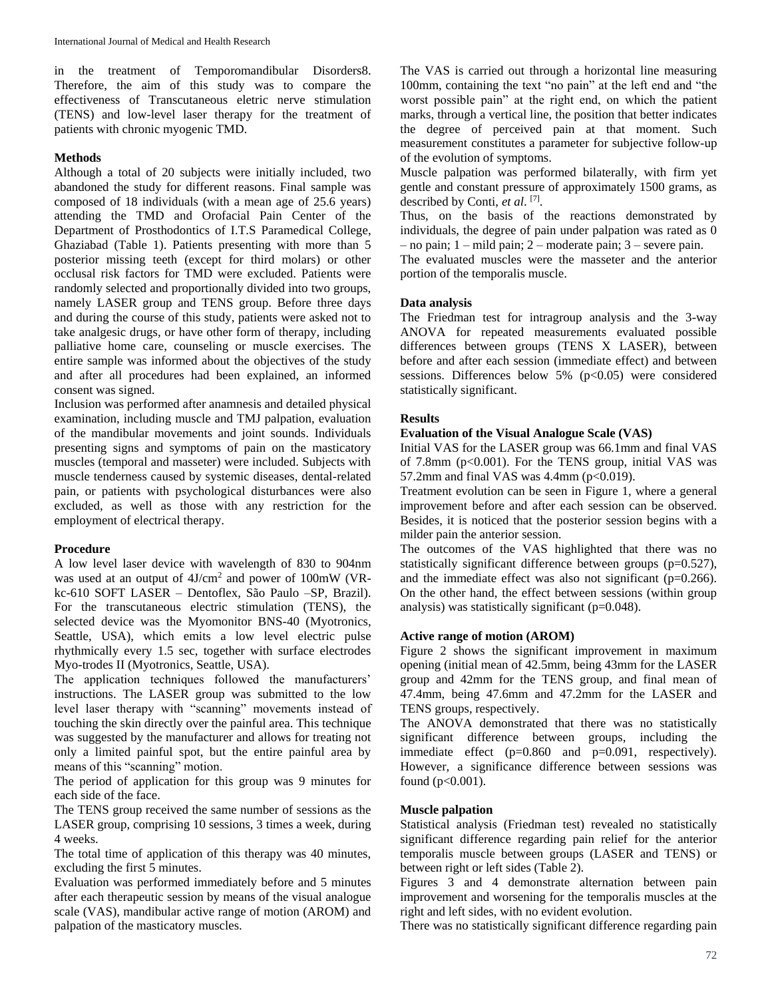in the treatment of Temporomandibular Disorders8. Therefore, the aim of this study was to compare the effectiveness of Transcutaneous eletric nerve stimulation (TENS) and low-level laser therapy for the treatment of patients with chronic myogenic TMD.

### **Methods**

Although a total of 20 subjects were initially included, two abandoned the study for different reasons. Final sample was composed of 18 individuals (with a mean age of 25.6 years) attending the TMD and Orofacial Pain Center of the Department of Prosthodontics of I.T.S Paramedical College, Ghaziabad (Table 1). Patients presenting with more than 5 posterior missing teeth (except for third molars) or other occlusal risk factors for TMD were excluded. Patients were randomly selected and proportionally divided into two groups, namely LASER group and TENS group. Before three days and during the course of this study, patients were asked not to take analgesic drugs, or have other form of therapy, including palliative home care, counseling or muscle exercises. The entire sample was informed about the objectives of the study and after all procedures had been explained, an informed consent was signed.

Inclusion was performed after anamnesis and detailed physical examination, including muscle and TMJ palpation, evaluation of the mandibular movements and joint sounds. Individuals presenting signs and symptoms of pain on the masticatory muscles (temporal and masseter) were included. Subjects with muscle tenderness caused by systemic diseases, dental-related pain, or patients with psychological disturbances were also excluded, as well as those with any restriction for the employment of electrical therapy.

### **Procedure**

A low level laser device with wavelength of 830 to 904nm was used at an output of 4J/cm<sup>2</sup> and power of 100mW (VRkc-610 SOFT LASER – Dentoflex, São Paulo –SP, Brazil). For the transcutaneous electric stimulation (TENS), the selected device was the Myomonitor BNS-40 (Myotronics, Seattle, USA), which emits a low level electric pulse rhythmically every 1.5 sec, together with surface electrodes Myo-trodes II (Myotronics, Seattle, USA).

The application techniques followed the manufacturers' instructions. The LASER group was submitted to the low level laser therapy with "scanning" movements instead of touching the skin directly over the painful area. This technique was suggested by the manufacturer and allows for treating not only a limited painful spot, but the entire painful area by means of this "scanning" motion.

The period of application for this group was 9 minutes for each side of the face.

The TENS group received the same number of sessions as the LASER group, comprising 10 sessions, 3 times a week, during 4 weeks.

The total time of application of this therapy was 40 minutes, excluding the first 5 minutes.

Evaluation was performed immediately before and 5 minutes after each therapeutic session by means of the visual analogue scale (VAS), mandibular active range of motion (AROM) and palpation of the masticatory muscles.

The VAS is carried out through a horizontal line measuring 100mm, containing the text "no pain" at the left end and "the worst possible pain" at the right end, on which the patient marks, through a vertical line, the position that better indicates the degree of perceived pain at that moment. Such measurement constitutes a parameter for subjective follow-up of the evolution of symptoms.

Muscle palpation was performed bilaterally, with firm yet gentle and constant pressure of approximately 1500 grams, as described by Conti, *et al*. [7] .

Thus, on the basis of the reactions demonstrated by individuals, the degree of pain under palpation was rated as 0 – no pain; 1 – mild pain; 2 – moderate pain; 3 – severe pain.

The evaluated muscles were the masseter and the anterior portion of the temporalis muscle.

## **Data analysis**

The Friedman test for intragroup analysis and the 3-way ANOVA for repeated measurements evaluated possible differences between groups (TENS X LASER), between before and after each session (immediate effect) and between sessions. Differences below 5% ( $p<0.05$ ) were considered statistically significant.

## **Results**

### **Evaluation of the Visual Analogue Scale (VAS)**

Initial VAS for the LASER group was 66.1mm and final VAS of 7.8mm ( $p<0.001$ ). For the TENS group, initial VAS was 57.2mm and final VAS was  $4.4$ mm (p<0.019).

Treatment evolution can be seen in Figure 1, where a general improvement before and after each session can be observed. Besides, it is noticed that the posterior session begins with a milder pain the anterior session.

The outcomes of the VAS highlighted that there was no statistically significant difference between groups (p=0.527), and the immediate effect was also not significant (p=0.266). On the other hand, the effect between sessions (within group analysis) was statistically significant (p=0.048).

### **Active range of motion (AROM)**

Figure 2 shows the significant improvement in maximum opening (initial mean of 42.5mm, being 43mm for the LASER group and 42mm for the TENS group, and final mean of 47.4mm, being 47.6mm and 47.2mm for the LASER and TENS groups, respectively.

The ANOVA demonstrated that there was no statistically significant difference between groups, including the immediate effect  $(p=0.860)$  and  $p=0.091$ , respectively). However, a significance difference between sessions was found  $(p<0.001)$ .

### **Muscle palpation**

Statistical analysis (Friedman test) revealed no statistically significant difference regarding pain relief for the anterior temporalis muscle between groups (LASER and TENS) or between right or left sides (Table 2).

Figures 3 and 4 demonstrate alternation between pain improvement and worsening for the temporalis muscles at the right and left sides, with no evident evolution.

There was no statistically significant difference regarding pain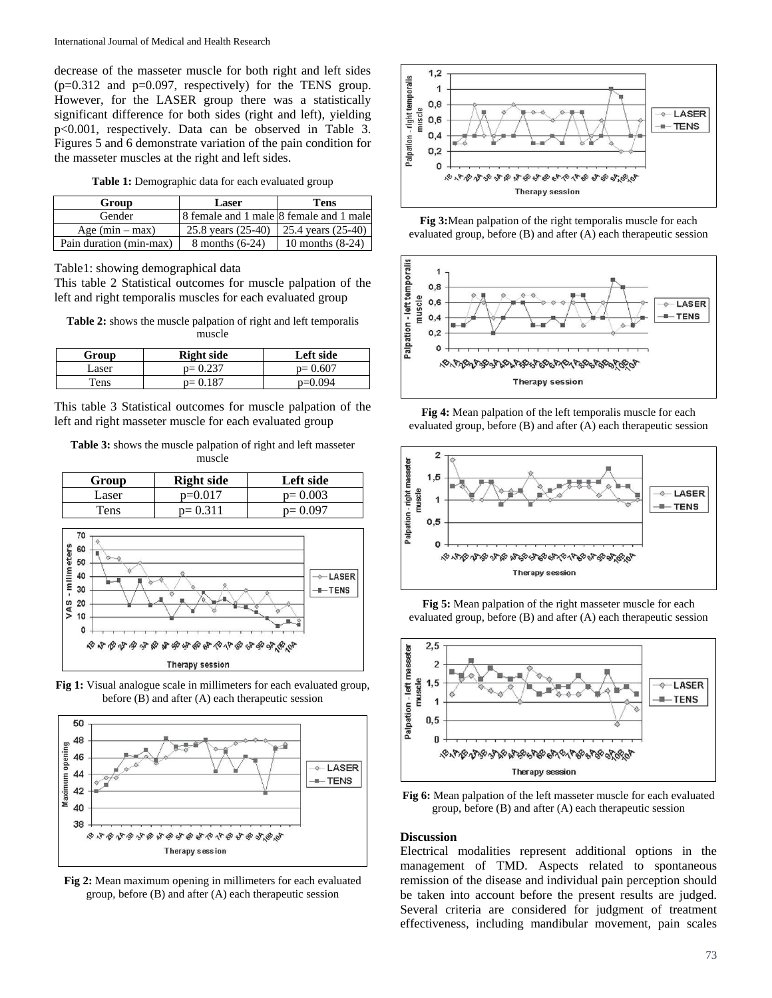decrease of the masseter muscle for both right and left sides  $(p=0.312$  and  $p=0.097$ , respectively) for the TENS group. However, for the LASER group there was a statistically significant difference for both sides (right and left), yielding p<0.001, respectively. Data can be observed in Table 3. Figures 5 and 6 demonstrate variation of the pain condition for the masseter muscles at the right and left sides.

|  |  | Table 1: Demographic data for each evaluated group |  |  |  |  |
|--|--|----------------------------------------------------|--|--|--|--|
|--|--|----------------------------------------------------|--|--|--|--|

| Group                   | <b>Laser</b>                            | Tens                 |  |
|-------------------------|-----------------------------------------|----------------------|--|
| Gender                  | 8 female and 1 male 8 female and 1 male |                      |  |
| Age $(min - max)$       | 25.8 years (25-40)                      | 25.4 years $(25-40)$ |  |
| Pain duration (min-max) | 8 months (6-24)                         | 10 months $(8-24)$   |  |

Table1: showing demographical data

This table 2 Statistical outcomes for muscle palpation of the left and right temporalis muscles for each evaluated group

**Table 2:** shows the muscle palpation of right and left temporalis muscle

| Group | <b>Right side</b> | Left side   |
|-------|-------------------|-------------|
| Laser | $p=0.237$         | $p = 0.607$ |
| Tens  | $p = 0.187$       | $n=0.094$   |

This table 3 Statistical outcomes for muscle palpation of the left and right masseter muscle for each evaluated group

**Table 3:** shows the muscle palpation of right and left masseter muscle





**Fig 1:** Visual analogue scale in millimeters for each evaluated group, before (B) and after (A) each therapeutic session



**Fig 2:** Mean maximum opening in millimeters for each evaluated group, before (B) and after (A) each therapeutic session



**Fig 3:**Mean palpation of the right temporalis muscle for each evaluated group, before (B) and after (A) each therapeutic session



**Fig 4:** Mean palpation of the left temporalis muscle for each evaluated group, before (B) and after (A) each therapeutic session



**Fig 5:** Mean palpation of the right masseter muscle for each evaluated group, before (B) and after (A) each therapeutic session



**Fig 6:** Mean palpation of the left masseter muscle for each evaluated group, before (B) and after (A) each therapeutic session

#### **Discussion**

Electrical modalities represent additional options in the management of TMD. Aspects related to spontaneous remission of the disease and individual pain perception should be taken into account before the present results are judged. Several criteria are considered for judgment of treatment effectiveness, including mandibular movement, pain scales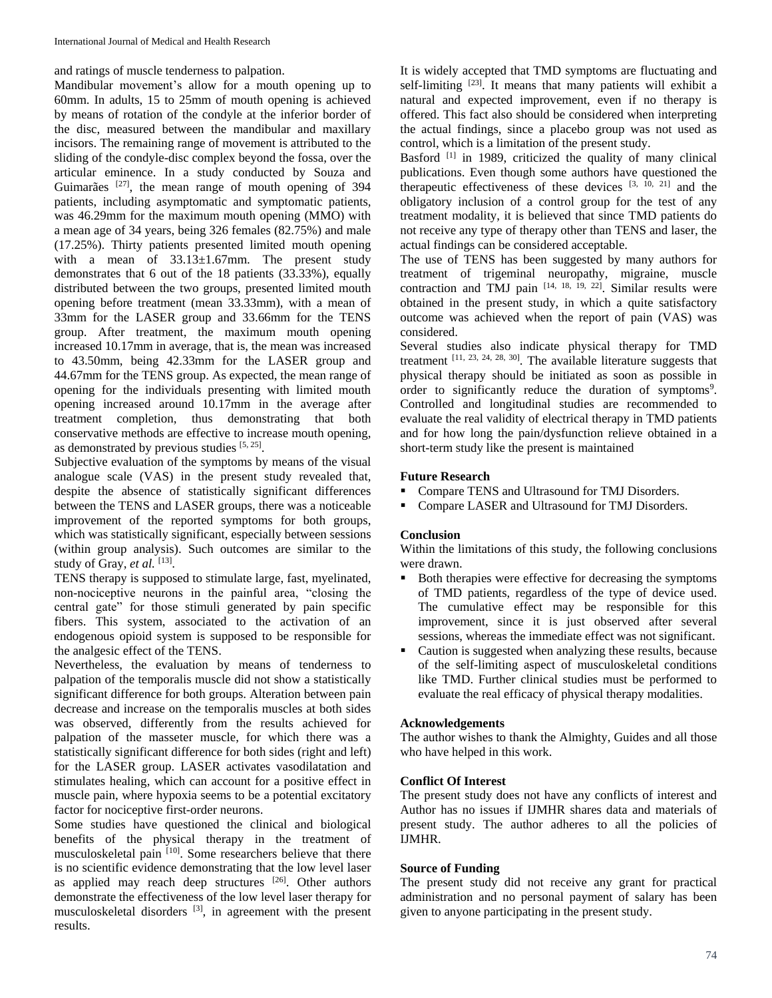and ratings of muscle tenderness to palpation.

Mandibular movement's allow for a mouth opening up to 60mm. In adults, 15 to 25mm of mouth opening is achieved by means of rotation of the condyle at the inferior border of the disc, measured between the mandibular and maxillary incisors. The remaining range of movement is attributed to the sliding of the condyle-disc complex beyond the fossa, over the articular eminence. In a study conducted by Souza and Guimarães <sup>[27]</sup>, the mean range of mouth opening of 394 patients, including asymptomatic and symptomatic patients, was 46.29mm for the maximum mouth opening (MMO) with a mean age of 34 years, being 326 females (82.75%) and male (17.25%). Thirty patients presented limited mouth opening with a mean of 33.13±1.67mm. The present study demonstrates that 6 out of the 18 patients (33.33%), equally distributed between the two groups, presented limited mouth opening before treatment (mean 33.33mm), with a mean of 33mm for the LASER group and 33.66mm for the TENS group. After treatment, the maximum mouth opening increased 10.17mm in average, that is, the mean was increased to 43.50mm, being 42.33mm for the LASER group and 44.67mm for the TENS group. As expected, the mean range of opening for the individuals presenting with limited mouth opening increased around 10.17mm in the average after treatment completion, thus demonstrating that both conservative methods are effective to increase mouth opening, as demonstrated by previous studies [5, 25].

Subjective evaluation of the symptoms by means of the visual analogue scale (VAS) in the present study revealed that, despite the absence of statistically significant differences between the TENS and LASER groups, there was a noticeable improvement of the reported symptoms for both groups, which was statistically significant, especially between sessions (within group analysis). Such outcomes are similar to the study of Gray, et al. [13].

TENS therapy is supposed to stimulate large, fast, myelinated, non-nociceptive neurons in the painful area, "closing the central gate" for those stimuli generated by pain specific fibers. This system, associated to the activation of an endogenous opioid system is supposed to be responsible for the analgesic effect of the TENS.

Nevertheless, the evaluation by means of tenderness to palpation of the temporalis muscle did not show a statistically significant difference for both groups. Alteration between pain decrease and increase on the temporalis muscles at both sides was observed, differently from the results achieved for palpation of the masseter muscle, for which there was a statistically significant difference for both sides (right and left) for the LASER group. LASER activates vasodilatation and stimulates healing, which can account for a positive effect in muscle pain, where hypoxia seems to be a potential excitatory factor for nociceptive first-order neurons.

Some studies have questioned the clinical and biological benefits of the physical therapy in the treatment of musculoskeletal pain [10]. Some researchers believe that there is no scientific evidence demonstrating that the low level laser as applied may reach deep structures <sup>[26]</sup>. Other authors demonstrate the effectiveness of the low level laser therapy for musculoskeletal disorders [3], in agreement with the present results.

It is widely accepted that TMD symptoms are fluctuating and self-limiting  $[23]$ . It means that many patients will exhibit a natural and expected improvement, even if no therapy is offered. This fact also should be considered when interpreting the actual findings, since a placebo group was not used as control, which is a limitation of the present study.

Basford <sup>[1]</sup> in 1989, criticized the quality of many clinical publications. Even though some authors have questioned the therapeutic effectiveness of these devices  $[3, 10, 21]$  and the obligatory inclusion of a control group for the test of any treatment modality, it is believed that since TMD patients do not receive any type of therapy other than TENS and laser, the actual findings can be considered acceptable.

The use of TENS has been suggested by many authors for treatment of trigeminal neuropathy, migraine, muscle contraction and TMJ pain  $[14, 18, 19, 22]$ . Similar results were obtained in the present study, in which a quite satisfactory outcome was achieved when the report of pain (VAS) was considered.

Several studies also indicate physical therapy for TMD treatment [11, 23, 24, 28, 30]. The available literature suggests that physical therapy should be initiated as soon as possible in order to significantly reduce the duration of symptoms<sup>9</sup>. Controlled and longitudinal studies are recommended to evaluate the real validity of electrical therapy in TMD patients and for how long the pain/dysfunction relieve obtained in a short-term study like the present is maintained

### **Future Research**

- Compare TENS and Ultrasound for TMJ Disorders.
- Compare LASER and Ultrasound for TMJ Disorders.

### **Conclusion**

Within the limitations of this study, the following conclusions were drawn.

- Both therapies were effective for decreasing the symptoms of TMD patients, regardless of the type of device used. The cumulative effect may be responsible for this improvement, since it is just observed after several sessions, whereas the immediate effect was not significant.
- Caution is suggested when analyzing these results, because of the self-limiting aspect of musculoskeletal conditions like TMD. Further clinical studies must be performed to evaluate the real efficacy of physical therapy modalities.

#### **Acknowledgements**

The author wishes to thank the Almighty, Guides and all those who have helped in this work.

#### **Conflict Of Interest**

The present study does not have any conflicts of interest and Author has no issues if IJMHR shares data and materials of present study. The author adheres to all the policies of IJMHR.

#### **Source of Funding**

The present study did not receive any grant for practical administration and no personal payment of salary has been given to anyone participating in the present study.